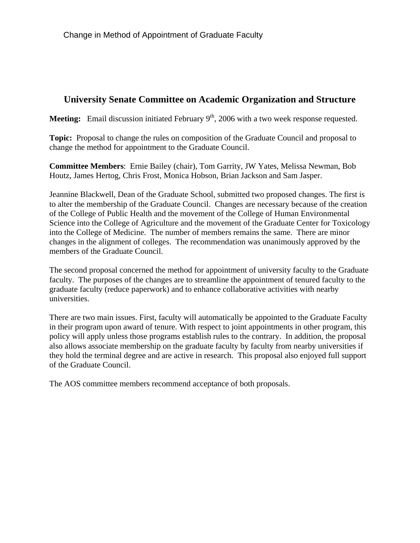# **University Senate Committee on Academic Organization and Structure**

**Meeting:** Email discussion initiated February 9<sup>th</sup>, 2006 with a two week response requested.

**Topic:** Proposal to change the rules on composition of the Graduate Council and proposal to change the method for appointment to the Graduate Council.

**Committee Members**: Ernie Bailey (chair), Tom Garrity, JW Yates, Melissa Newman, Bob Houtz, James Hertog, Chris Frost, Monica Hobson, Brian Jackson and Sam Jasper.

Jeannine Blackwell, Dean of the Graduate School, submitted two proposed changes. The first is to alter the membership of the Graduate Council. Changes are necessary because of the creation of the College of Public Health and the movement of the College of Human Environmental Science into the College of Agriculture and the movement of the Graduate Center for Toxicology into the College of Medicine. The number of members remains the same. There are minor changes in the alignment of colleges. The recommendation was unanimously approved by the members of the Graduate Council.

The second proposal concerned the method for appointment of university faculty to the Graduate faculty. The purposes of the changes are to streamline the appointment of tenured faculty to the graduate faculty (reduce paperwork) and to enhance collaborative activities with nearby universities.

There are two main issues. First, faculty will automatically be appointed to the Graduate Faculty in their program upon award of tenure. With respect to joint appointments in other program, this policy will apply unless those programs establish rules to the contrary. In addition, the proposal also allows associate membership on the graduate faculty by faculty from nearby universities if they hold the terminal degree and are active in research. This proposal also enjoyed full support of the Graduate Council.

The AOS committee members recommend acceptance of both proposals.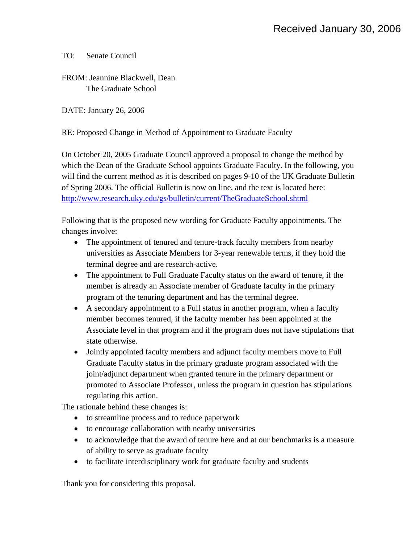TO: Senate Council

FROM: Jeannine Blackwell, Dean The Graduate School

DATE: January 26, 2006

RE: Proposed Change in Method of Appointment to Graduate Faculty

On October 20, 2005 Graduate Council approved a proposal to change the method by which the Dean of the Graduate School appoints Graduate Faculty. In the following, you will find the current method as it is described on pages 9-10 of the UK Graduate Bulletin of Spring 2006. The official Bulletin is now on line, and the text is located here: <http://www.research.uky.edu/gs/bulletin/current/TheGraduateSchool.shtml>

Following that is the proposed new wording for Graduate Faculty appointments. The changes involve:

- The appointment of tenured and tenure-track faculty members from nearby universities as Associate Members for 3-year renewable terms, if they hold the terminal degree and are research-active.
- The appointment to Full Graduate Faculty status on the award of tenure, if the member is already an Associate member of Graduate faculty in the primary program of the tenuring department and has the terminal degree.
- A secondary appointment to a Full status in another program, when a faculty member becomes tenured, if the faculty member has been appointed at the Associate level in that program and if the program does not have stipulations that state otherwise.
- Jointly appointed faculty members and adjunct faculty members move to Full Graduate Faculty status in the primary graduate program associated with the joint/adjunct department when granted tenure in the primary department or promoted to Associate Professor, unless the program in question has stipulations regulating this action.

The rationale behind these changes is:

- to streamline process and to reduce paperwork
- to encourage collaboration with nearby universities
- to acknowledge that the award of tenure here and at our benchmarks is a measure of ability to serve as graduate faculty
- to facilitate interdisciplinary work for graduate faculty and students

Thank you for considering this proposal.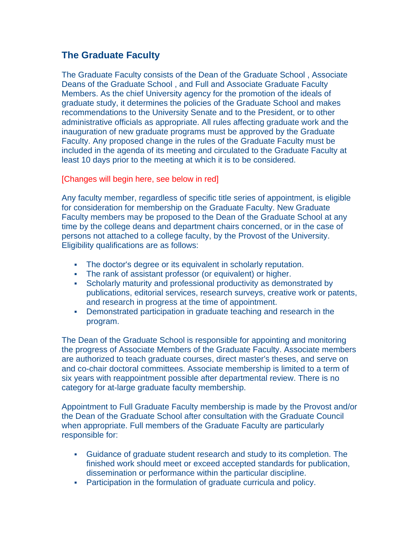# **The Graduate Faculty**

The Graduate Faculty consists of the Dean of the Graduate School , Associate Deans of the Graduate School , and Full and Associate Graduate Faculty Members. As the chief University agency for the promotion of the ideals of graduate study, it determines the policies of the Graduate School and makes recommendations to the University Senate and to the President, or to other administrative officials as appropriate. All rules affecting graduate work and the inauguration of new graduate programs must be approved by the Graduate Faculty. Any proposed change in the rules of the Graduate Faculty must be included in the agenda of its meeting and circulated to the Graduate Faculty at least 10 days prior to the meeting at which it is to be considered.

### [Changes will begin here, see below in red]

Any faculty member, regardless of specific title series of appointment, is eligible for consideration for membership on the Graduate Faculty. New Graduate Faculty members may be proposed to the Dean of the Graduate School at any time by the college deans and department chairs concerned, or in the case of persons not attached to a college faculty, by the Provost of the University. Eligibility qualifications are as follows:

- The doctor's degree or its equivalent in scholarly reputation.
- The rank of assistant professor (or equivalent) or higher.
- Scholarly maturity and professional productivity as demonstrated by publications, editorial services, research surveys, creative work or patents, and research in progress at the time of appointment.
- Demonstrated participation in graduate teaching and research in the program.

The Dean of the Graduate School is responsible for appointing and monitoring the progress of Associate Members of the Graduate Faculty. Associate members are authorized to teach graduate courses, direct master's theses, and serve on and co-chair doctoral committees. Associate membership is limited to a term of six years with reappointment possible after departmental review. There is no category for at-large graduate faculty membership.

Appointment to Full Graduate Faculty membership is made by the Provost and/or the Dean of the Graduate School after consultation with the Graduate Council when appropriate. Full members of the Graduate Faculty are particularly responsible for:

- Guidance of graduate student research and study to its completion. The finished work should meet or exceed accepted standards for publication, dissemination or performance within the particular discipline.
- Participation in the formulation of graduate curricula and policy.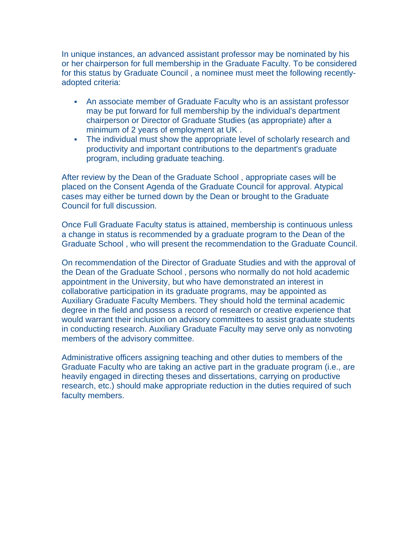In unique instances, an advanced assistant professor may be nominated by his or her chairperson for full membership in the Graduate Faculty. To be considered for this status by Graduate Council , a nominee must meet the following recentlyadopted criteria:

- An associate member of Graduate Faculty who is an assistant professor may be put forward for full membership by the individual's department chairperson or Director of Graduate Studies (as appropriate) after a minimum of 2 years of employment at UK .
- The individual must show the appropriate level of scholarly research and productivity and important contributions to the department's graduate program, including graduate teaching.

After review by the Dean of the Graduate School , appropriate cases will be placed on the Consent Agenda of the Graduate Council for approval. Atypical cases may either be turned down by the Dean or brought to the Graduate Council for full discussion.

Once Full Graduate Faculty status is attained, membership is continuous unless a change in status is recommended by a graduate program to the Dean of the Graduate School , who will present the recommendation to the Graduate Council.

On recommendation of the Director of Graduate Studies and with the approval of the Dean of the Graduate School , persons who normally do not hold academic appointment in the University, but who have demonstrated an interest in collaborative participation in its graduate programs, may be appointed as Auxiliary Graduate Faculty Members. They should hold the terminal academic degree in the field and possess a record of research or creative experience that would warrant their inclusion on advisory committees to assist graduate students in conducting research. Auxiliary Graduate Faculty may serve only as nonvoting members of the advisory committee.

Administrative officers assigning teaching and other duties to members of the Graduate Faculty who are taking an active part in the graduate program (i.e., are heavily engaged in directing theses and dissertations, carrying on productive research, etc.) should make appropriate reduction in the duties required of such faculty members.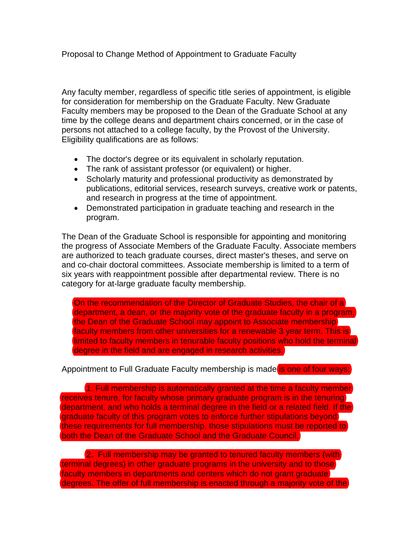## Proposal to Change Method of Appointment to Graduate Faculty

Any faculty member, regardless of specific title series of appointment, is eligible for consideration for membership on the Graduate Faculty. New Graduate Faculty members may be proposed to the Dean of the Graduate School at any time by the college deans and department chairs concerned, or in the case of persons not attached to a college faculty, by the Provost of the University. Eligibility qualifications are as follows:

- The doctor's degree or its equivalent in scholarly reputation.
- The rank of assistant professor (or equivalent) or higher.
- Scholarly maturity and professional productivity as demonstrated by publications, editorial services, research surveys, creative work or patents, and research in progress at the time of appointment.
- Demonstrated participation in graduate teaching and research in the program.

The Dean of the Graduate School is responsible for appointing and monitoring the progress of Associate Members of the Graduate Faculty. Associate members are authorized to teach graduate courses, direct master's theses, and serve on and co-chair doctoral committees. Associate membership is limited to a term of six years with reappointment possible after departmental review. There is no category for at-large graduate faculty membership.

On the recommendation of the Director of Graduate Studies, the chair of a department, a dean, or the majority vote of the graduate faculty in a program, the Dean of the Graduate School may appoint to Associate membership faculty members from other universities for a renewable 3 year term. This is limited to faculty members in tenurable faculty positions who hold the terminal degree in the field and are engaged in research activities.

### Appointment to Full Graduate Faculty membership is made is one of four ways:

1. Full membership is automatically granted at the time a faculty member receives tenure, for faculty whose primary graduate program is in the tenuring department, and who holds a terminal degree in the field or a related field. If the graduate faculty of this program votes to enforce further stipulations beyond these requirements for full membership, those stipulations must be reported to both the Dean of the Graduate School and the Graduate Council,

2. Full membership may be granted to tenured faculty members (with terminal degrees) in other graduate programs in the university and to those faculty members in departments and centers which do not grant graduate degrees. The offer of full membership is enacted through a majority vote of the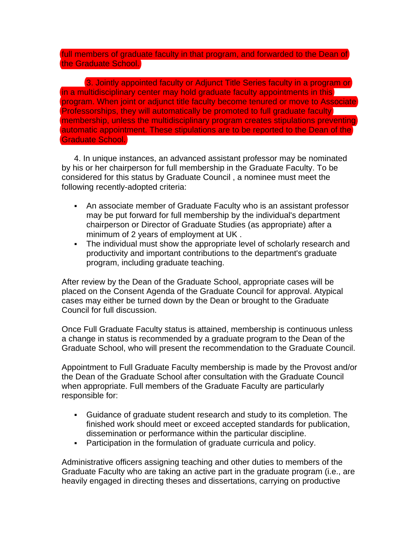full members of graduate faculty in that program, and forwarded to the Dean of the Graduate School.

3. Jointly appointed faculty or Adjunct Title Series faculty in a program or in a multidisciplinary center may hold graduate faculty appointments in this program. When joint or adjunct title faculty become tenured or move to Associate Professorships, they will automatically be promoted to full graduate faculty membership, unless the multidisciplinary program creates stipulations preventing automatic appointment. These stipulations are to be reported to the Dean of the Graduate School.

4. In unique instances, an advanced assistant professor may be nominated by his or her chairperson for full membership in the Graduate Faculty. To be considered for this status by Graduate Council , a nominee must meet the following recently-adopted criteria:

- An associate member of Graduate Faculty who is an assistant professor may be put forward for full membership by the individual's department chairperson or Director of Graduate Studies (as appropriate) after a minimum of 2 years of employment at UK .
- The individual must show the appropriate level of scholarly research and productivity and important contributions to the department's graduate program, including graduate teaching.

After review by the Dean of the Graduate School, appropriate cases will be placed on the Consent Agenda of the Graduate Council for approval. Atypical cases may either be turned down by the Dean or brought to the Graduate Council for full discussion.

Once Full Graduate Faculty status is attained, membership is continuous unless a change in status is recommended by a graduate program to the Dean of the Graduate School, who will present the recommendation to the Graduate Council.

Appointment to Full Graduate Faculty membership is made by the Provost and/or the Dean of the Graduate School after consultation with the Graduate Council when appropriate. Full members of the Graduate Faculty are particularly responsible for:

- Guidance of graduate student research and study to its completion. The finished work should meet or exceed accepted standards for publication, dissemination or performance within the particular discipline.
- Participation in the formulation of graduate curricula and policy.

Administrative officers assigning teaching and other duties to members of the Graduate Faculty who are taking an active part in the graduate program (i.e., are heavily engaged in directing theses and dissertations, carrying on productive